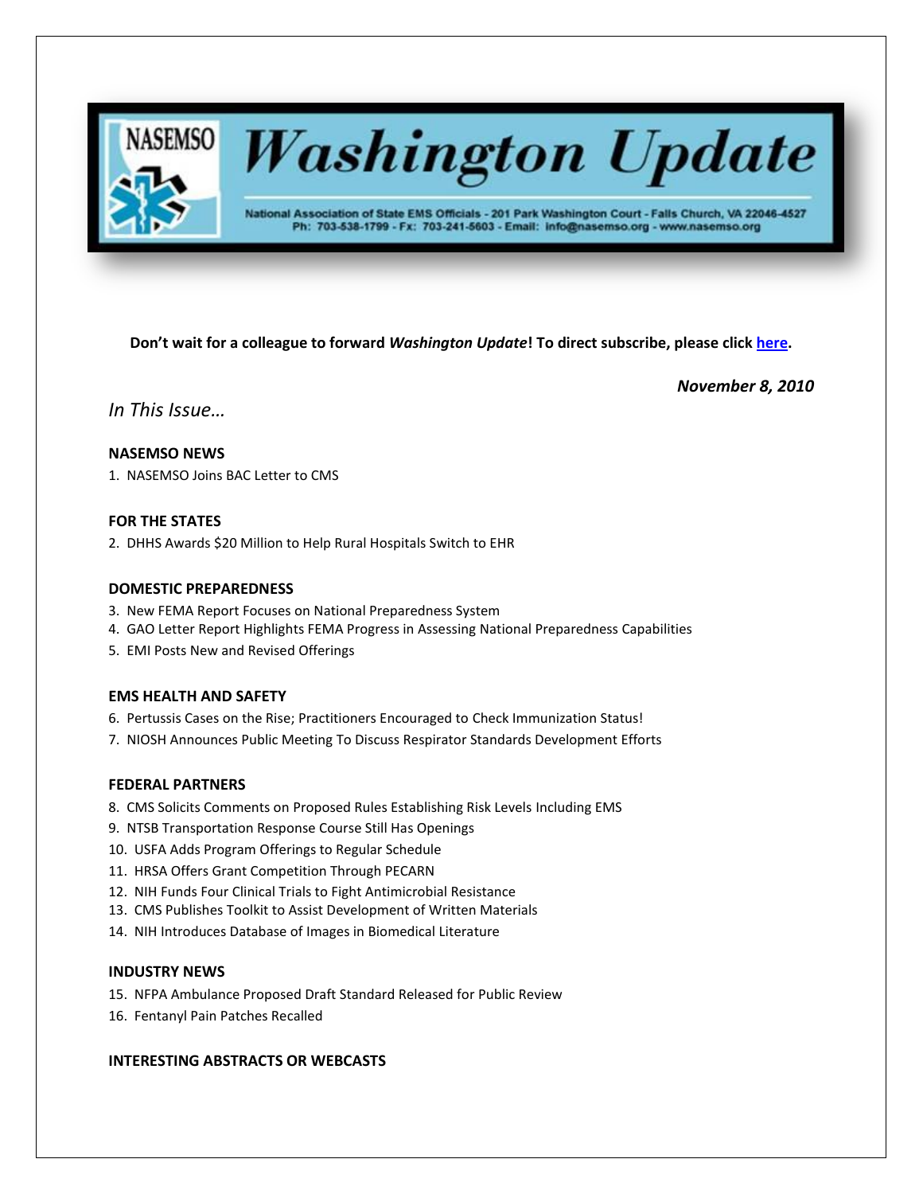

# **Washington Update**

National Association of State EMS Officials - 201 Park Washington Court - Falls Church, VA 22046-4527 Ph: 703-538-1799 - Fx: 703-241-5603 - Email: info@nasemso.org - www.nasemso.org

**Don't wait for a colleague to forward** *Washington Update***! To direct subscribe, please click [here.](http://lists.nasemso.org/read/all_forums/subscribe?name=wu%20)**

*November 8, 2010*

*In This Issue…*

## **NASEMSO NEWS**

1. NASEMSO Joins BAC Letter to CMS

## **FOR THE STATES**

2. DHHS Awards \$20 Million to Help Rural Hospitals Switch to EHR

## **DOMESTIC PREPAREDNESS**

- 3. New FEMA Report Focuses on National Preparedness System
- 4. GAO Letter Report Highlights FEMA Progress in Assessing National Preparedness Capabilities
- 5. EMI Posts New and Revised Offerings

## **EMS HEALTH AND SAFETY**

- 6. Pertussis Cases on the Rise; Practitioners Encouraged to Check Immunization Status!
- 7. NIOSH Announces Public Meeting To Discuss Respirator Standards Development Efforts

### **FEDERAL PARTNERS**

- 8. CMS Solicits Comments on Proposed Rules Establishing Risk Levels Including EMS
- 9. NTSB Transportation Response Course Still Has Openings
- 10. USFA Adds Program Offerings to Regular Schedule
- 11. HRSA Offers Grant Competition Through PECARN
- 12. NIH Funds Four Clinical Trials to Fight Antimicrobial Resistance
- 13. CMS Publishes Toolkit to Assist Development of Written Materials
- 14. NIH Introduces Database of Images in Biomedical Literature

## **INDUSTRY NEWS**

- 15. NFPA Ambulance Proposed Draft Standard Released for Public Review
- 16. Fentanyl Pain Patches Recalled

## **INTERESTING ABSTRACTS OR WEBCASTS**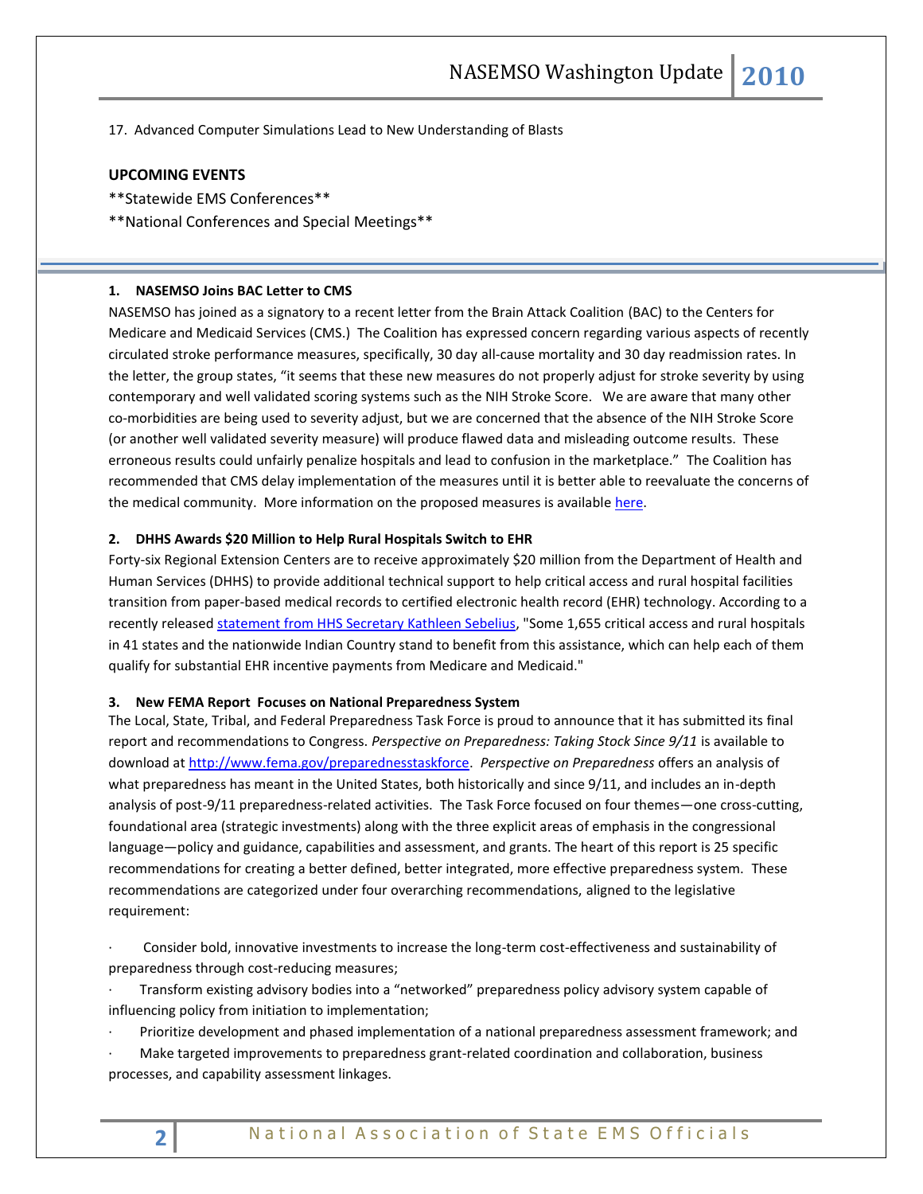17. Advanced Computer Simulations Lead to New Understanding of Blasts

## **UPCOMING EVENTS**

- \*\*Statewide EMS Conferences\*\*
- \*\*National Conferences and Special Meetings\*\*

#### **1. NASEMSO Joins BAC Letter to CMS**

NASEMSO has joined as a signatory to a recent letter from the Brain Attack Coalition (BAC) to the Centers for Medicare and Medicaid Services (CMS.) The Coalition has expressed concern regarding various aspects of recently circulated stroke performance measures, specifically, 30 day all-cause mortality and 30 day readmission rates. In the letter, the group states, "it seems that these new measures do not properly adjust for stroke severity by using contemporary and well validated scoring systems such as the NIH Stroke Score. We are aware that many other co-morbidities are being used to severity adjust, but we are concerned that the absence of the NIH Stroke Score (or another well validated severity measure) will produce flawed data and misleading outcome results. These erroneous results could unfairly penalize hospitals and lead to confusion in the marketplace." The Coalition has recommended that CMS delay implementation of the measures until it is better able to reevaluate the concerns of the medical community. More information on the proposed measures is available [here.](http://www.qualityforum.org/Projects/c-d/Cardiovascular_Endorsement_and_Maintenance_2010/Cardiovascular_Endorsement_and_Maintenance_2010.aspx)

#### **2. DHHS Awards \$20 Million to Help Rural Hospitals Switch to EHR**

Forty-six Regional Extension Centers are to receive approximately \$20 million from the Department of Health and Human Services (DHHS) to provide additional technical support to help critical access and rural hospital facilities transition from paper-based medical records to certified electronic health record (EHR) technology. According to a recently released [statement from HHS Secretary Kathleen Sebelius,](http://cl.publicaster.com/ClickThru.aspx?pubids=8731%7c989%7c703&digest=h5V54XT7Stepl6%2bmD%2bn%2bCQ&sysid=1) "Some 1,655 critical access and rural hospitals in 41 states and the nationwide Indian Country stand to benefit from this assistance, which can help each of them qualify for substantial EHR incentive payments from Medicare and Medicaid."

#### **3. New FEMA Report Focuses on National Preparedness System**

The Local, State, Tribal, and Federal Preparedness Task Force is proud to announce that it has submitted its final report and recommendations to Congress. *Perspective on Preparedness: Taking Stock Since 9/11* is available to download at [http://www.fema.gov/preparednesstaskforce.](http://www.fema.gov/preparednesstaskforce) *Perspective on Preparedness* offers an analysis of what preparedness has meant in the United States, both historically and since 9/11, and includes an in-depth analysis of post-9/11 preparedness-related activities. The Task Force focused on four themes—one cross-cutting, foundational area (strategic investments) along with the three explicit areas of emphasis in the congressional language—policy and guidance, capabilities and assessment, and grants. The heart of this report is 25 specific recommendations for creating a better defined, better integrated, more effective preparedness system. These recommendations are categorized under four overarching recommendations, aligned to the legislative requirement:

· Consider bold, innovative investments to increase the long-term cost-effectiveness and sustainability of preparedness through cost-reducing measures;

· Transform existing advisory bodies into a "networked" preparedness policy advisory system capable of influencing policy from initiation to implementation;

· Prioritize development and phased implementation of a national preparedness assessment framework; and

· Make targeted improvements to preparedness grant-related coordination and collaboration, business processes, and capability assessment linkages.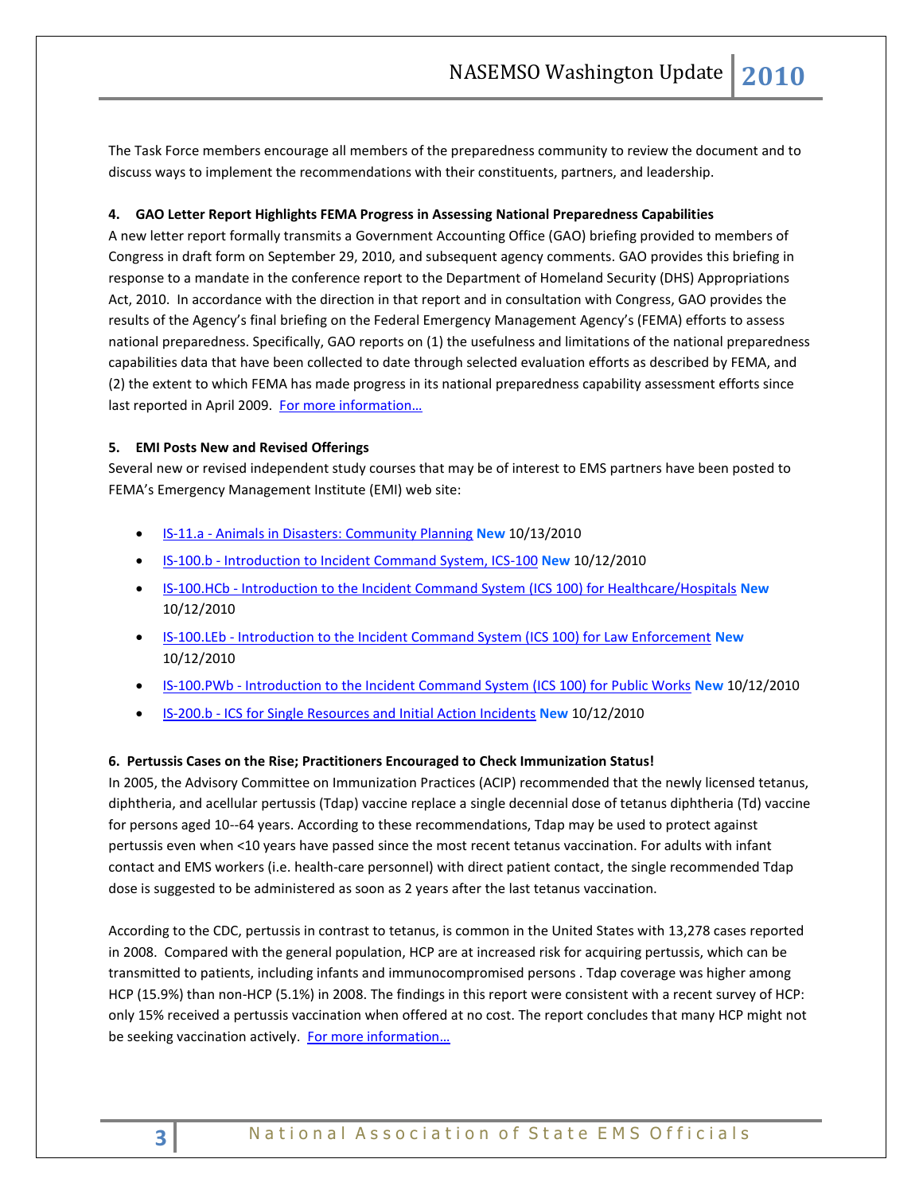The Task Force members encourage all members of the preparedness community to review the document and to discuss ways to implement the recommendations with their constituents, partners, and leadership.

## **4. GAO Letter Report Highlights FEMA Progress in Assessing National Preparedness Capabilities**

A new letter report formally transmits a Government Accounting Office (GAO) briefing provided to members of Congress in draft form on September 29, 2010, and subsequent agency comments. GAO provides this briefing in response to a mandate in the conference report to the Department of Homeland Security (DHS) Appropriations Act, 2010. In accordance with the direction in that report and in consultation with Congress, GAO provides the results of the Agency's final briefing on the Federal Emergency Management Agency's (FEMA) efforts to assess national preparedness. Specifically, GAO reports on (1) the usefulness and limitations of the national preparedness capabilities data that have been collected to date through selected evaluation efforts as described by FEMA, and (2) the extent to which FEMA has made progress in its national preparedness capability assessment efforts since last reported in April 2009. For more information...

## **5. EMI Posts New and Revised Offerings**

Several new or revised independent study courses that may be of interest to EMS partners have been posted to FEMA's Emergency Management Institute (EMI) web site:

- IS-11.a [Animals in Disasters: Community Planning](http://training.fema.gov/EMIWeb/IS/IS11a.asp) **New** 10/13/2010
- IS-100.b [Introduction to Incident Command System, ICS-100](http://training.fema.gov/EMIWeb/IS/IS100b.asp) **New** 10/12/2010
- IS-100.HCb [Introduction to the Incident Command System \(ICS 100\) for Healthcare/Hospitals](http://training.fema.gov/EMIWeb/IS/is100HCb.asp) **New** 10/12/2010
- IS-100.LEb [Introduction to the Incident Command System \(ICS 100\) for Law Enforcement](http://training.fema.gov/EMIWeb/IS/IS100LEb.asp) **New** 10/12/2010
- IS-100.PWb [Introduction to the Incident Command System \(ICS 100\) for Public Works](http://training.fema.gov/EMIWeb/IS/IS100PWb.asp) **New** 10/12/2010
- IS-200.b [ICS for Single Resources and Initial Action Incidents](http://training.fema.gov/EMIWeb/IS/IS200b.asp) **New** 10/12/2010

## **6. Pertussis Cases on the Rise; Practitioners Encouraged to Check Immunization Status!**

In 2005, the Advisory Committee on Immunization Practices (ACIP) recommended that the newly licensed tetanus, diphtheria, and acellular pertussis (Tdap) vaccine replace a single decennial dose of tetanus diphtheria (Td) vaccine for persons aged 10--64 years. According to these recommendations, Tdap may be used to protect against pertussis even when <10 years have passed since the most recent tetanus vaccination. For adults with infant contact and EMS workers (i.e. health-care personnel) with direct patient contact, the single recommended Tdap dose is suggested to be administered as soon as 2 years after the last tetanus vaccination.

According to the CDC, pertussis in contrast to tetanus, is common in the United States with 13,278 cases reported in 2008. Compared with the general population, HCP are at increased risk for acquiring pertussis, which can be transmitted to patients, including infants and immunocompromised persons . Tdap coverage was higher among HCP (15.9%) than non-HCP (5.1%) in 2008. The findings in this report were consistent with a recent survey of HCP: only 15% received a pertussis vaccination when offered at no cost. The report concludes that many HCP might not be seeking vaccination actively. For more information...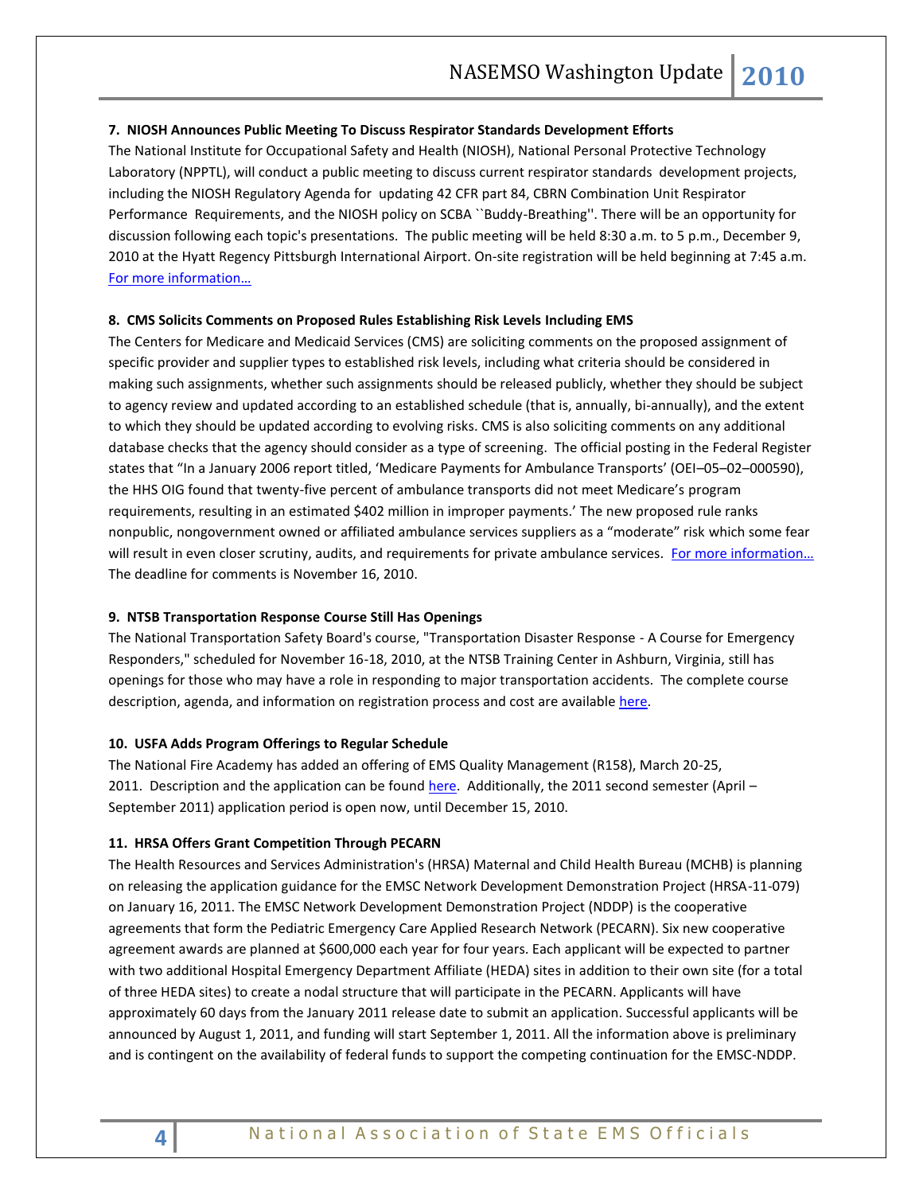## **7. NIOSH Announces Public Meeting To Discuss Respirator Standards Development Efforts**

The National Institute for Occupational Safety and Health (NIOSH), National Personal Protective Technology Laboratory (NPPTL), will conduct a public meeting to discuss current respirator standards development projects, including the NIOSH Regulatory Agenda for updating 42 CFR part 84, CBRN Combination Unit Respirator Performance Requirements, and the NIOSH policy on SCBA ``Buddy-Breathing''. There will be an opportunity for discussion following each topic's presentations. The public meeting will be held 8:30 a.m. to 5 p.m., December 9, 2010 at the Hyatt Regency Pittsburgh International Airport. On-site registration will be held beginning at 7:45 a.m. [For more information…](http://edocket.access.gpo.gov/2010/2010-26129.htm)

#### **8. CMS Solicits Comments on Proposed Rules Establishing Risk Levels Including EMS**

The Centers for Medicare and Medicaid Services (CMS) are soliciting comments on the proposed assignment of specific provider and supplier types to established risk levels, including what criteria should be considered in making such assignments, whether such assignments should be released publicly, whether they should be subject to agency review and updated according to an established schedule (that is, annually, bi-annually), and the extent to which they should be updated according to evolving risks. CMS is also soliciting comments on any additional database checks that the agency should consider as a type of screening. The official posting in the Federal Register states that "In a January 2006 report titled, 'Medicare Payments for Ambulance Transports' (OEI–05–02–000590), the HHS OIG found that twenty-five percent of ambulance transports did not meet Medicare's program requirements, resulting in an estimated \$402 million in improper payments.' The new proposed rule ranks nonpublic, nongovernment owned or affiliated ambulance services suppliers as a "moderate" risk which some fear will result in even closer scrutiny, audits, and requirements for private ambulance services. For more information... The deadline for comments is November 16, 2010.

## **9. NTSB Transportation Response Course Still Has Openings**

The National Transportation Safety Board's course, "Transportation Disaster Response - A Course for Emergency Responders," scheduled for November 16-18, 2010, at the NTSB Training Center in Ashburn, Virginia, still has openings for those who may have a role in responding to major transportation accidents. The complete course description, agenda, and information on registration process and cost are available [here.](http://www.ntsb.gov/Academy/CourseInfo/TDA402_2010.htm)

#### **10. USFA Adds Program Offerings to Regular Schedule**

The National Fire Academy has added an offering of EMS Quality Management (R158), March 20-25, 2011. Description and the application can be found [here.](http://www.usfa.dhs.gov/applications/nfacourses/catalog/details/10411) Additionally, the 2011 second semester (April -September 2011) application period is open now, until December 15, 2010.

#### **11. HRSA Offers Grant Competition Through PECARN**

The Health Resources and Services Administration's (HRSA) Maternal and Child Health Bureau (MCHB) is planning on releasing the application guidance for the EMSC Network Development Demonstration Project (HRSA-11-079) on January 16, 2011. The EMSC Network Development Demonstration Project (NDDP) is the cooperative agreements that form the Pediatric Emergency Care Applied Research Network (PECARN). Six new cooperative agreement awards are planned at \$600,000 each year for four years. Each applicant will be expected to partner with two additional Hospital Emergency Department Affiliate (HEDA) sites in addition to their own site (for a total of three HEDA sites) to create a nodal structure that will participate in the PECARN. Applicants will have approximately 60 days from the January 2011 release date to submit an application. Successful applicants will be announced by August 1, 2011, and funding will start September 1, 2011. All the information above is preliminary and is contingent on the availability of federal funds to support the competing continuation for the EMSC-NDDP.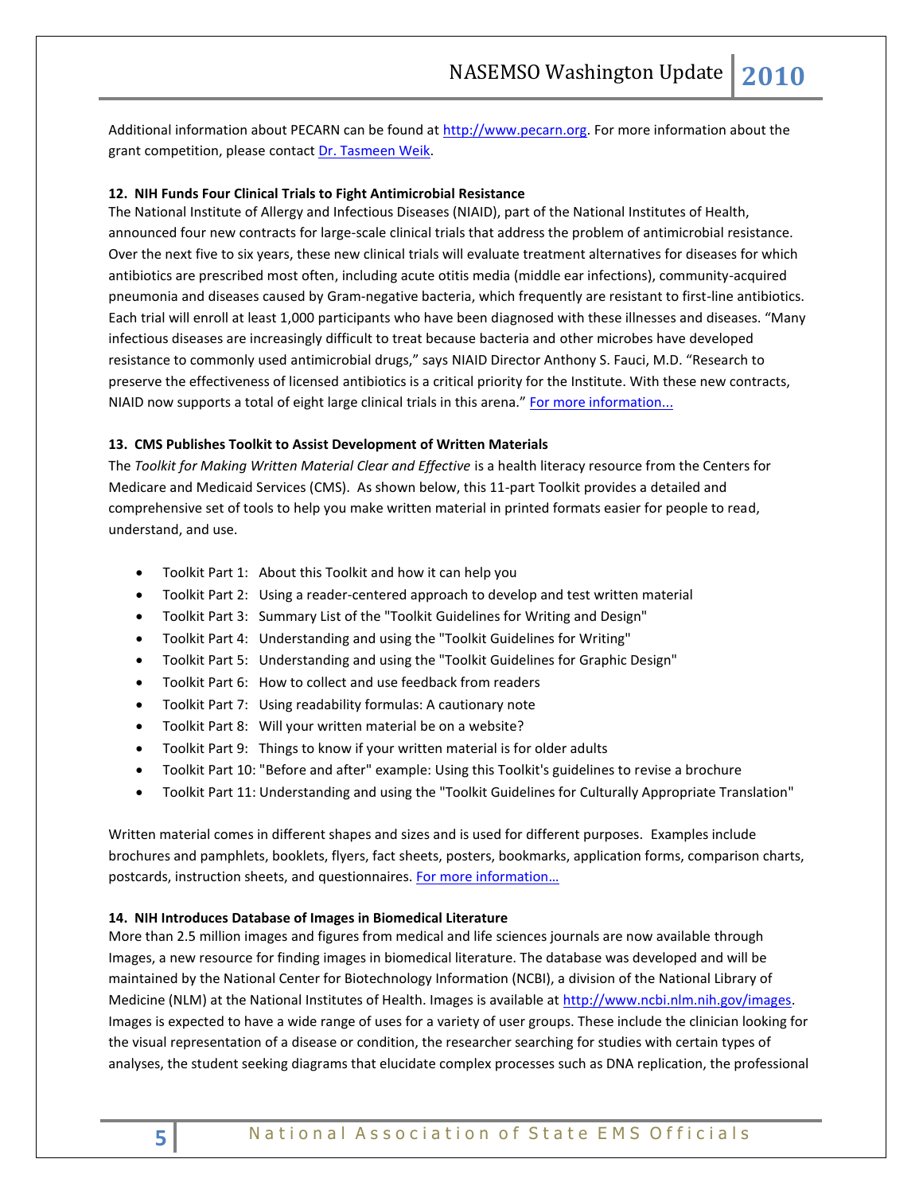Additional information about PECARN can be found at [http://www.pecarn.org.](http://cl.publicaster.com/ClickThru.aspx?pubids=8731%7c932%7c680&digest=FJmGNK7WbNq6k3t%2bof098Q&sysid=1) For more information about the grant competition, please contac[t Dr. Tasmeen Weik.](mailto:tweik@hrsa.gov)

#### **12. NIH Funds Four Clinical Trials to Fight Antimicrobial Resistance**

The National Institute of Allergy and Infectious Diseases (NIAID), part of the National Institutes of Health, announced four new contracts for large-scale clinical trials that address the problem of antimicrobial resistance. Over the next five to six years, these new clinical trials will evaluate treatment alternatives for diseases for which antibiotics are prescribed most often, including acute otitis media (middle ear infections), community-acquired pneumonia and diseases caused by Gram-negative bacteria, which frequently are resistant to first-line antibiotics. Each trial will enroll at least 1,000 participants who have been diagnosed with these illnesses and diseases. "Many infectious diseases are increasingly difficult to treat because bacteria and other microbes have developed resistance to commonly used antimicrobial drugs," says NIAID Director Anthony S. Fauci, M.D. "Research to preserve the effectiveness of licensed antibiotics is a critical priority for the Institute. With these new contracts, NIAID now supports a total of eight large clinical trials in this arena." [For more information...](http://www.nih.gov/news/health/oct2010/niaid-19.htm)

#### **13. CMS Publishes Toolkit to Assist Development of Written Materials**

The *Toolkit for Making Written Material Clear and Effective* is a health literacy resource from the Centers for Medicare and Medicaid Services (CMS). As shown below, this 11-part Toolkit provides a detailed and comprehensive set of tools to help you make written material in printed formats easier for people to read, understand, and use.

- Toolkit Part 1: About this Toolkit and how it can help you
- Toolkit Part 2: Using a reader-centered approach to develop and test written material
- Toolkit Part 3: Summary List of the "Toolkit Guidelines for Writing and Design"
- Toolkit Part 4: Understanding and using the "Toolkit Guidelines for Writing"
- Toolkit Part 5: Understanding and using the "Toolkit Guidelines for Graphic Design"
- Toolkit Part 6: How to collect and use feedback from readers
- Toolkit Part 7: Using readability formulas: A cautionary note
- Toolkit Part 8: Will your written material be on a website?
- Toolkit Part 9: Things to know if your written material is for older adults
- Toolkit Part 10: "Before and after" example: Using this Toolkit's guidelines to revise a brochure
- Toolkit Part 11: Understanding and using the "Toolkit Guidelines for Culturally Appropriate Translation"

Written material comes in different shapes and sizes and is used for different purposes. Examples include brochures and pamphlets, booklets, flyers, fact sheets, posters, bookmarks, application forms, comparison charts, postcards, instruction sheets, and questionnaires. For more information...

#### **14. NIH Introduces Database of Images in Biomedical Literature**

More than 2.5 million images and figures from medical and life sciences journals are now available through Images, a new resource for finding images in biomedical literature. The database was developed and will be maintained by the National Center for Biotechnology Information (NCBI), a division of the National Library of Medicine (NLM) at the National Institutes of Health. Images is available a[t http://www.ncbi.nlm.nih.gov/images.](http://www.ncbi.nlm.nih.gov/images) Images is expected to have a wide range of uses for a variety of user groups. These include the clinician looking for the visual representation of a disease or condition, the researcher searching for studies with certain types of analyses, the student seeking diagrams that elucidate complex processes such as DNA replication, the professional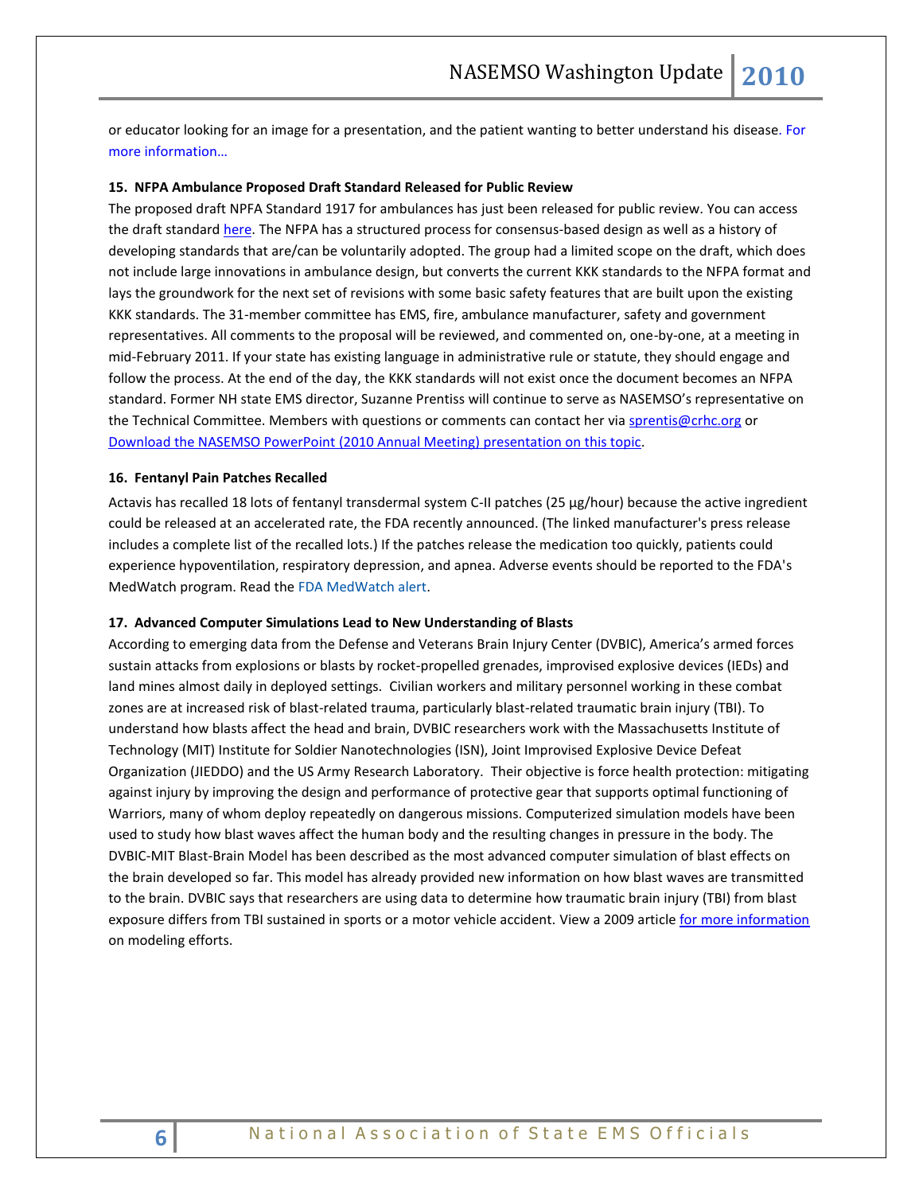or educator looking for an image for a presentation, and the patient wanting to better understand his diseas[e. For](http://www.nih.gov/news/health/oct2010/nlm-28.htm)  [more information…](http://www.nih.gov/news/health/oct2010/nlm-28.htm)

#### **15. NFPA Ambulance Proposed Draft Standard Released for Public Review**

The proposed draft NPFA Standard 1917 for ambulances has just been released for public review. You can access the draft standar[d here.](http://www.nfpa.org/1917) The NFPA has a structured process for consensus-based design as well as a history of developing standards that are/can be voluntarily adopted. The group had a limited scope on the draft, which does not include large innovations in ambulance design, but converts the current KKK standards to the NFPA format and lays the groundwork for the next set of revisions with some basic safety features that are built upon the existing KKK standards. The 31-member committee has EMS, fire, ambulance manufacturer, safety and government representatives. All comments to the proposal will be reviewed, and commented on, one-by-one, at a meeting in mid-February 2011. If your state has existing language in administrative rule or statute, they should engage and follow the process. At the end of the day, the KKK standards will not exist once the document becomes an NFPA standard. Former NH state EMS director, Suzanne Prentiss will continue to serve as NASEMSO's representative on the Technical Committee. Members with questions or comments can contact her vi[a sprentis@crhc.org](mailto:sprentis@crhc.org) or [Download the NASEMSO PowerPoint](http://www.nasemso.org/documents/NASEMSONFPA1917.pdf) (2010 Annual Meeting) presentation on this topic.

#### **16. Fentanyl Pain Patches Recalled**

Actavis has recalled 18 lots of fentanyl transdermal system C-II patches (25 μg/hour) because the active ingredient could be released at an accelerated rate, the FDA recently announced. (The linked manufacturer's press release includes a complete list of the recalled lots.) If the patches release the medication too quickly, patients could experience hypoventilation, respiratory depression, and apnea. Adverse events should be reported to the FDA's MedWatch program. Read the [FDA MedWatch alert.](http://www.fda.gov/Safety/MedWatch/SafetyInformation/SafetyAlertsforHumanMedicalProducts/ucm230639.htm)

#### **17. Advanced Computer Simulations Lead to New Understanding of Blasts**

According to emerging data from the Defense and Veterans Brain Injury Center (DVBIC), America's armed forces sustain attacks from explosions or blasts by rocket-propelled grenades, improvised explosive devices (IEDs) and land mines almost daily in deployed settings. Civilian workers and military personnel working in these combat zones are at increased risk of blast-related trauma, particularly blast-related traumatic brain injury (TBI). To understand how blasts affect the head and brain, DVBIC researchers work with the Massachusetts Institute of Technology (MIT) Institute for Soldier Nanotechnologies (ISN), Joint Improvised Explosive Device Defeat Organization (JIEDDO) and the US Army Research Laboratory. Their objective is force health protection: mitigating against injury by improving the design and performance of protective gear that supports optimal functioning of Warriors, many of whom deploy repeatedly on dangerous missions. Computerized simulation models have been used to study how blast waves affect the human body and the resulting changes in pressure in the body. The DVBIC-MIT Blast-Brain Model has been described as the most advanced computer simulation of blast effects on the brain developed so far. This model has already provided new information on how blast waves are transmitted to the brain. DVBIC says that researchers are using data to determine how traumatic brain injury (TBI) from blast exposure differs from TBI sustained in sports or a motor vehicle accident. View a 2009 article [for more information](http://isn-csm.mit.edu/upload/journal/neuroimage-2009.pdf) on modeling efforts.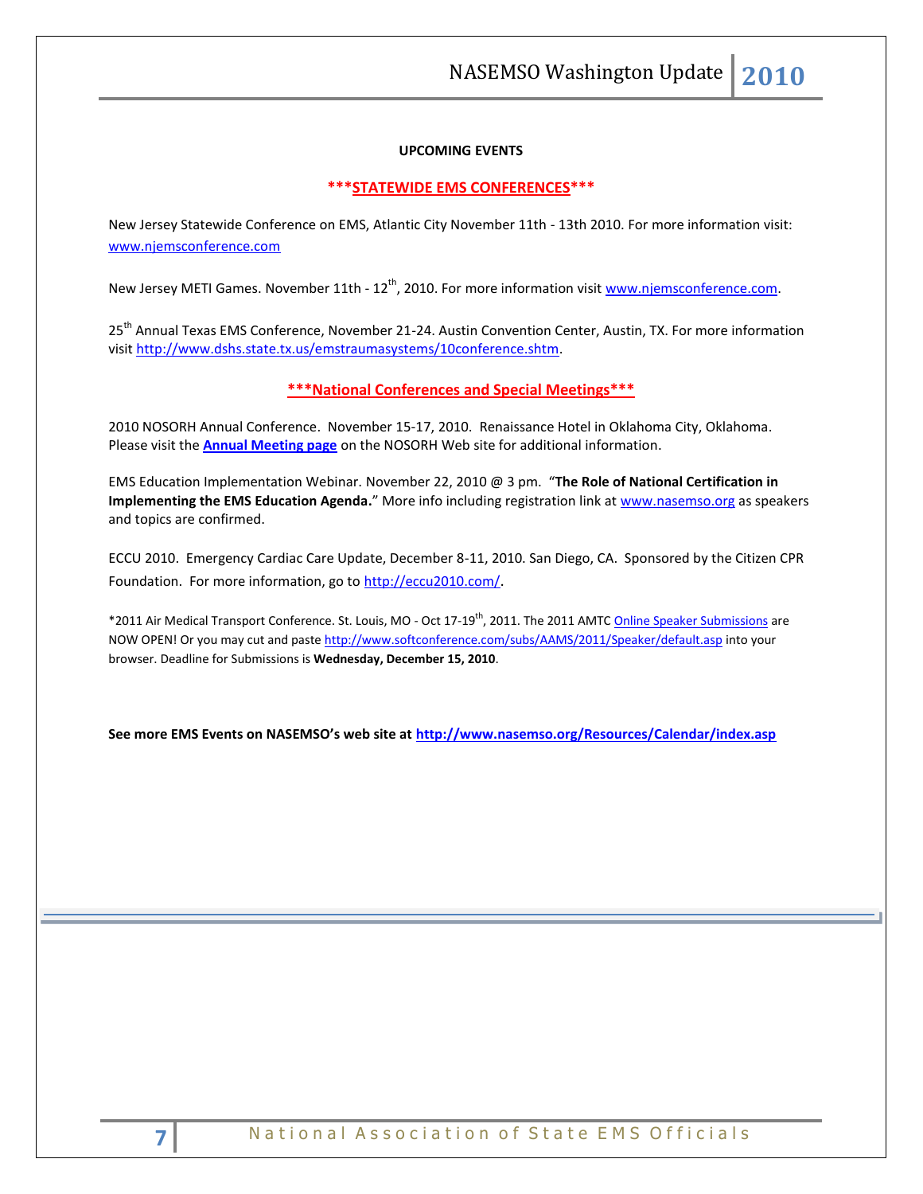NASEMSO Washington Update **2010**

## **UPCOMING EVENTS**

#### **\*\*\*STATEWIDE EMS CONFERENCES\*\*\***

New Jersey Statewide Conference on EMS, Atlantic City November 11th - 13th 2010. For more information visit: [www.njemsconference.com](http://www.njemsconference.com/)

New Jersey METI Games. November 11th - 12<sup>th</sup>, 2010. For more information visit [www.njemsconference.com.](http://www.njemsconference.com/)

25<sup>th</sup> Annual Texas EMS Conference, November 21-24. Austin Convention Center, Austin, TX. For more information visi[t http://www.dshs.state.tx.us/emstraumasystems/10conference.shtm.](http://www.dshs.state.tx.us/emstraumasystems/10conference.shtm)

## **\*\*\*National Conferences and Special Meetings\*\*\***

2010 NOSORH Annual Conference. November 15-17, 2010. Renaissance Hotel in Oklahoma City, Oklahoma. Please visit the **[Annual Meeting page](http://www.nosorh.org/news/annualmeeting.php)** on the NOSORH Web site for additional information.

EMS Education Implementation Webinar. November 22, 2010 @ 3 pm. "**The Role of National Certification in Implementing the EMS Education Agenda.**" More info including registration link at [www.nasemso.org](http://www.nasemso.org/) as speakers and topics are confirmed.

ECCU 2010. Emergency Cardiac Care Update, December 8-11, 2010. San Diego, CA. Sponsored by the Citizen CPR Foundation. For more information, go t[o http://eccu2010.com/](http://eccu2010.com/).

\*2011 Air Medical Transport Conference. St. Louis, MO - Oct 17-19th, 2011. The 2011 AMT[C Online Speaker Submissions](http://aams.informz.net/z/cjUucD9taT0xMDk0OTc0JnA9MSZ1PTEwMjU0NTI4ODgmbGk9NDUwNTUyNQ/index.html) are NOW OPEN! Or you may cut and past[e http://www.softconference.com/subs/AAMS/2011/Speaker/default.asp](http://www.softconference.com/subs/AAMS/2011/Speaker/default.asp) into your browser. Deadline for Submissions is **Wednesday, December 15, 2010**.

**See more EMS Events on NASEMSO's web site at <http://www.nasemso.org/Resources/Calendar/index.asp>**